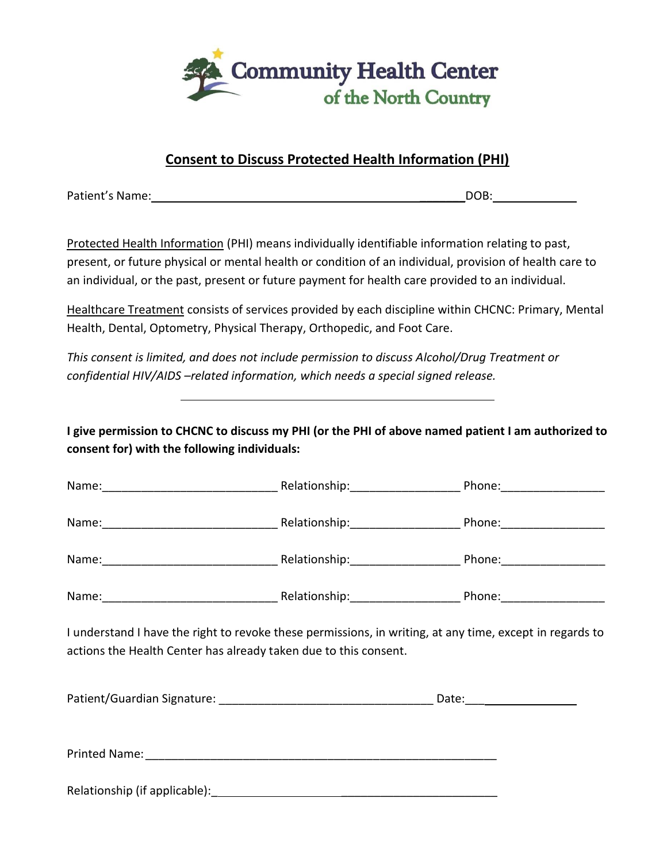

## **Consent to Discuss Protected Health Information (PHI)**

Patient's Name: \_\_\_\_\_\_\_DOB:

Protected Health Information (PHI) means individually identifiable information relating to past, present, or future physical or mental health or condition of an individual, provision of health care to an individual, or the past, present or future payment for health care provided to an individual.

Healthcare Treatment consists of services provided by each discipline within CHCNC: Primary, Mental Health, Dental, Optometry, Physical Therapy, Orthopedic, and Foot Care.

*This consent is limited, and does not include permission to discuss Alcohol/Drug Treatment or confidential HIV/AIDS –related information, which needs a special signed release.*

**I give permission to CHCNC to discuss my PHI (or the PHI of above named patient I am authorized to consent for) with the following individuals:**

|                                                                  | Name: 1990 Mame: 2000 Mame: 2000 Mame: 2000 Mame: 2000 Mame: 2000 Mame: 2000 Mame: 2000 Mame: 2000 Mamman. 200 |
|------------------------------------------------------------------|----------------------------------------------------------------------------------------------------------------|
|                                                                  | Name: 1990 Mame: 2000 Mame: 2000 Mame: 2000 Mame: 2000 Mame: 2000 Mame: 2000 Mame: 2000 Mame: 2000 Mamman. 200 |
|                                                                  | Name: 1990 Mame: 2000 Mame: 2000 Mame: 2000 Mame: 2000 Mame: 2000 Mame: 2000 Mame: 2000 Mame: 2000 Mamman. 200 |
| actions the Health Center has already taken due to this consent. | I understand I have the right to revoke these permissions, in writing, at any time, except in regards to       |
|                                                                  |                                                                                                                |
|                                                                  |                                                                                                                |
|                                                                  |                                                                                                                |